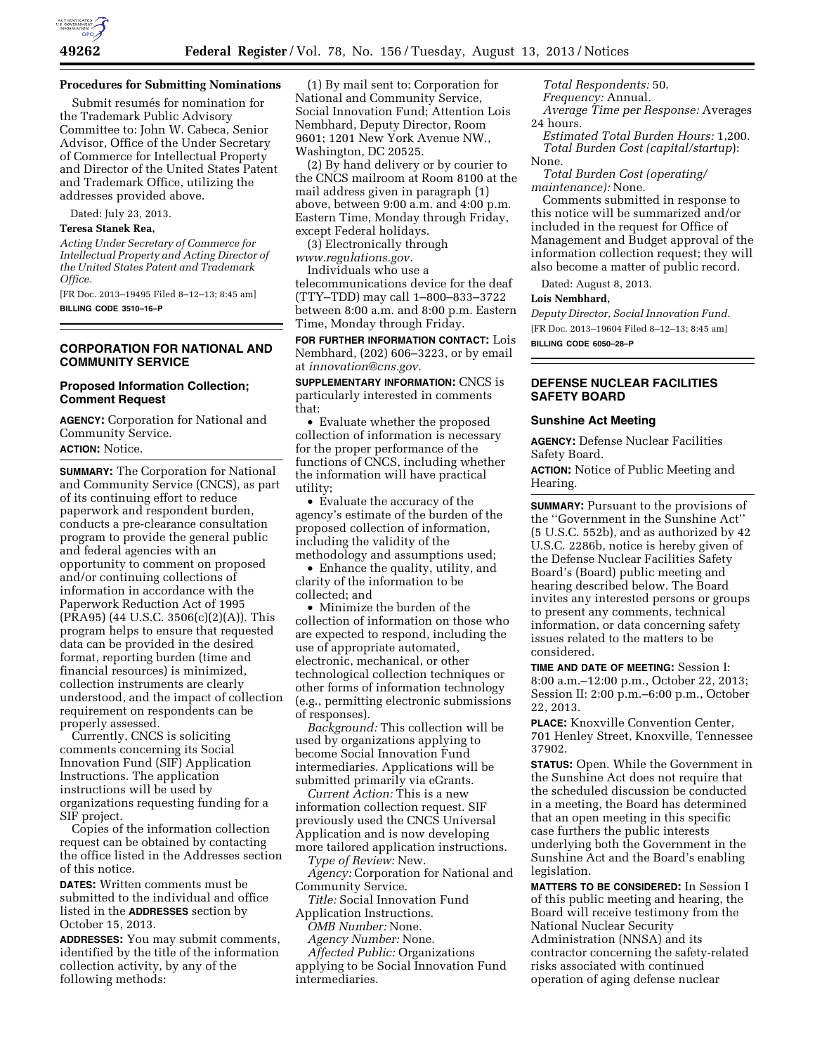

### **Procedures for Submitting Nominations**

Submit resumés for nomination for the Trademark Public Advisory Committee to: John W. Cabeca, Senior Advisor, Office of the Under Secretary of Commerce for Intellectual Property and Director of the United States Patent and Trademark Office, utilizing the addresses provided above.

Dated: July 23, 2013.

# **Teresa Stanek Rea,**

*Acting Under Secretary of Commerce for Intellectual Property and Acting Director of the United States Patent and Trademark Office.* 

[FR Doc. 2013–19495 Filed 8–12–13; 8:45 am] **BILLING CODE 3510–16–P** 

### **CORPORATION FOR NATIONAL AND COMMUNITY SERVICE**

# **Proposed Information Collection; Comment Request**

**AGENCY:** Corporation for National and Community Service.

**ACTION:** Notice.

**SUMMARY:** The Corporation for National and Community Service (CNCS), as part of its continuing effort to reduce paperwork and respondent burden, conducts a pre-clearance consultation program to provide the general public and federal agencies with an opportunity to comment on proposed and/or continuing collections of information in accordance with the Paperwork Reduction Act of 1995 (PRA95) (44 U.S.C. 3506(c)(2)(A)). This program helps to ensure that requested data can be provided in the desired format, reporting burden (time and financial resources) is minimized, collection instruments are clearly understood, and the impact of collection requirement on respondents can be properly assessed.

Currently, CNCS is soliciting comments concerning its Social Innovation Fund (SIF) Application Instructions. The application instructions will be used by organizations requesting funding for a SIF project.

Copies of the information collection request can be obtained by contacting the office listed in the Addresses section of this notice.

**DATES:** Written comments must be submitted to the individual and office listed in the **ADDRESSES** section by October 15, 2013.

**ADDRESSES:** You may submit comments, identified by the title of the information collection activity, by any of the following methods:

(1) By mail sent to: Corporation for National and Community Service, Social Innovation Fund; Attention Lois Nembhard, Deputy Director, Room 9601; 1201 New York Avenue NW., Washington, DC 20525.

(2) By hand delivery or by courier to the CNCS mailroom at Room 8100 at the mail address given in paragraph (1) above, between 9:00 a.m. and 4:00 p.m. Eastern Time, Monday through Friday, except Federal holidays.

(3) Electronically through *[www.regulations.gov.](http://www.regulations.gov)* 

Individuals who use a

telecommunications device for the deaf (TTY–TDD) may call 1–800–833–3722 between 8:00 a.m. and 8:00 p.m. Eastern Time, Monday through Friday.

**FOR FURTHER INFORMATION CONTACT:** Lois Nembhard, (202) 606–3223, or by email at *[innovation@cns.gov.](mailto:innovation@cns.gov)* 

**SUPPLEMENTARY INFORMATION:** CNCS is particularly interested in comments that:

• Evaluate whether the proposed collection of information is necessary for the proper performance of the functions of CNCS, including whether the information will have practical utility;

• Evaluate the accuracy of the agency's estimate of the burden of the proposed collection of information, including the validity of the methodology and assumptions used;

• Enhance the quality, utility, and clarity of the information to be collected; and

• Minimize the burden of the collection of information on those who are expected to respond, including the use of appropriate automated, electronic, mechanical, or other technological collection techniques or other forms of information technology (e.g., permitting electronic submissions of responses).

*Background:* This collection will be used by organizations applying to become Social Innovation Fund intermediaries. Applications will be submitted primarily via eGrants.

*Current Action:* This is a new information collection request. SIF previously used the CNCS Universal Application and is now developing more tailored application instructions.

*Type of Review:* New.

*Agency:* Corporation for National and Community Service.

*Title:* Social Innovation Fund Application Instructions.

*OMB Number:* None.

*Agency Number:* None.

*Affected Public:* Organizations applying to be Social Innovation Fund intermediaries.

*Total Respondents:* 50. *Frequency:* Annual. *Average Time per Response:* Averages 24 hours.

*Estimated Total Burden Hours:* 1,200. *Total Burden Cost (capital/startup*): None.

*Total Burden Cost (operating/ maintenance):* None.

Comments submitted in response to this notice will be summarized and/or included in the request for Office of Management and Budget approval of the information collection request; they will also become a matter of public record.

Dated: August 8, 2013.

#### **Lois Nembhard,**

*Deputy Director, Social Innovation Fund.*  [FR Doc. 2013–19604 Filed 8–12–13; 8:45 am] **BILLING CODE 6050–28–P** 

# **DEFENSE NUCLEAR FACILITIES SAFETY BOARD**

#### **Sunshine Act Meeting**

**AGENCY:** Defense Nuclear Facilities Safety Board.

**ACTION:** Notice of Public Meeting and Hearing.

**SUMMARY:** Pursuant to the provisions of the ''Government in the Sunshine Act'' (5 U.S.C. 552b), and as authorized by 42 U.S.C. 2286b, notice is hereby given of the Defense Nuclear Facilities Safety Board's (Board) public meeting and hearing described below. The Board invites any interested persons or groups to present any comments, technical information, or data concerning safety issues related to the matters to be considered.

**TIME AND DATE OF MEETING:** Session I: 8:00 a.m.–12:00 p.m., October 22, 2013; Session II: 2:00 p.m.–6:00 p.m., October 22, 2013.

**PLACE:** Knoxville Convention Center, 701 Henley Street, Knoxville, Tennessee 37902.

**STATUS:** Open. While the Government in the Sunshine Act does not require that the scheduled discussion be conducted in a meeting, the Board has determined that an open meeting in this specific case furthers the public interests underlying both the Government in the Sunshine Act and the Board's enabling legislation.

**MATTERS TO BE CONSIDERED:** In Session I of this public meeting and hearing, the Board will receive testimony from the National Nuclear Security Administration (NNSA) and its contractor concerning the safety-related risks associated with continued operation of aging defense nuclear